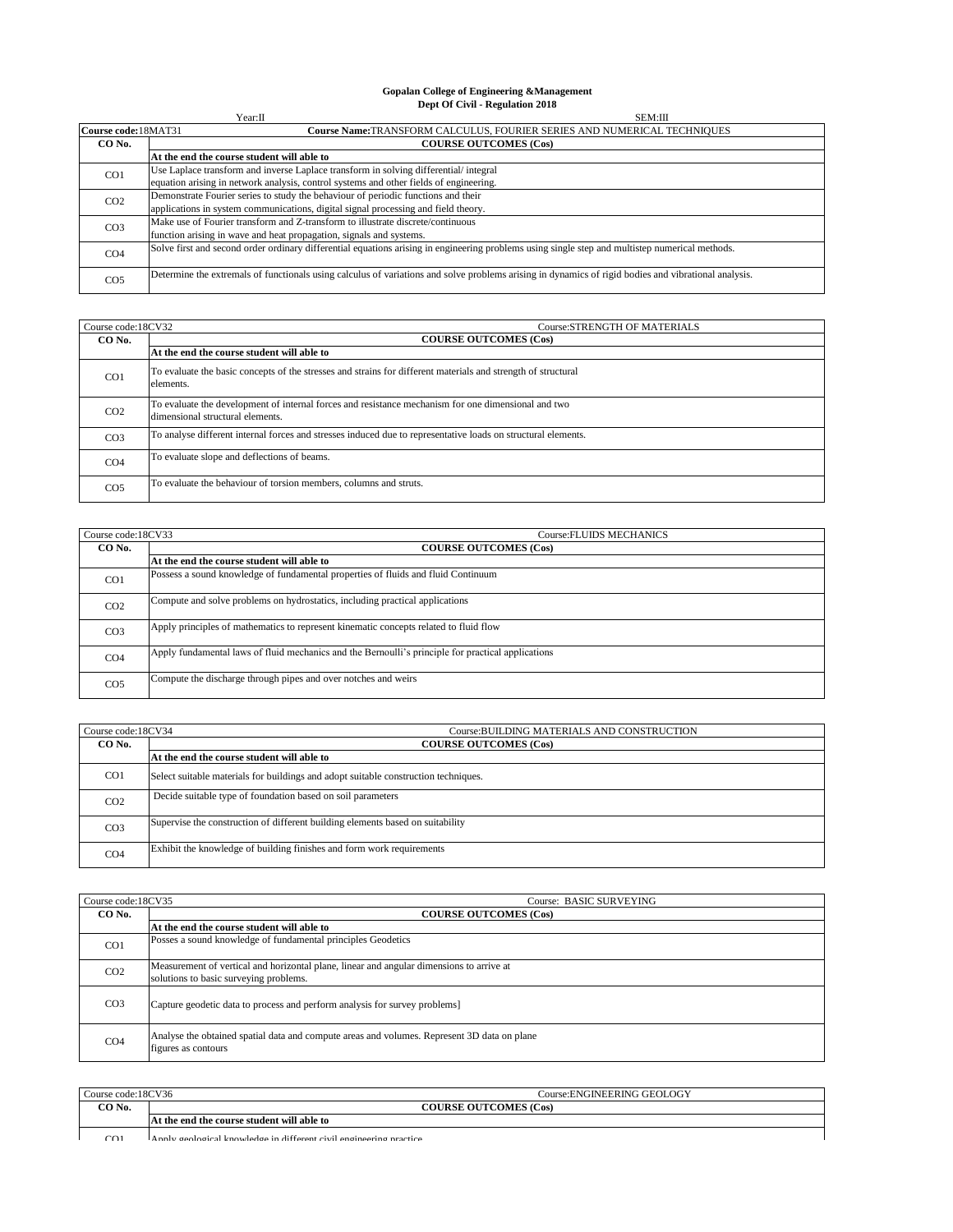## **Gopalan College of Engineering &Management Dept Of Civil - Regulation 2018**

| Year:II<br>SEM:III   |                                                                                                                                                      |
|----------------------|------------------------------------------------------------------------------------------------------------------------------------------------------|
| Course code: 18MAT31 | Course Name: TRANSFORM CALCULUS, FOURIER SERIES AND NUMERICAL TECHNIQUES                                                                             |
| CO No.               | <b>COURSE OUTCOMES (Cos)</b>                                                                                                                         |
|                      | At the end the course student will able to                                                                                                           |
| CO <sub>1</sub>      | Use Laplace transform and inverse Laplace transform in solving differential/integral                                                                 |
|                      | equation arising in network analysis, control systems and other fields of engineering.                                                               |
| CO <sub>2</sub>      | Demonstrate Fourier series to study the behaviour of periodic functions and their                                                                    |
|                      | applications in system communications, digital signal processing and field theory.                                                                   |
| CO <sub>3</sub>      | Make use of Fourier transform and Z-transform to illustrate discrete/continuous                                                                      |
|                      | function arising in wave and heat propagation, signals and systems.                                                                                  |
| CO <sub>4</sub>      | Solve first and second order ordinary differential equations arising in engineering problems using single step and multistep numerical methods.      |
| CO <sub>5</sub>      | Determine the extremals of functionals using calculus of variations and solve problems arising in dynamics of rigid bodies and vibrational analysis. |

| Course code:18CV32 | <b>Course:STRENGTH OF MATERIALS</b>                                                                                                     |
|--------------------|-----------------------------------------------------------------------------------------------------------------------------------------|
| CO No.             | <b>COURSE OUTCOMES (Cos)</b>                                                                                                            |
|                    | At the end the course student will able to                                                                                              |
| CO <sub>1</sub>    | To evaluate the basic concepts of the stresses and strains for different materials and strength of structural<br>elements.              |
| CO <sub>2</sub>    | To evaluate the development of internal forces and resistance mechanism for one dimensional and two<br>dimensional structural elements. |
| CO <sub>3</sub>    | To analyse different internal forces and stresses induced due to representative loads on structural elements.                           |
| CO <sub>4</sub>    | To evaluate slope and deflections of beams.                                                                                             |
| CO <sub>5</sub>    | To evaluate the behaviour of torsion members, columns and struts.                                                                       |

| Course code:18CV33 | Course: FLUIDS MECHANICS                                                                           |
|--------------------|----------------------------------------------------------------------------------------------------|
| CO No.             | <b>COURSE OUTCOMES (Cos)</b>                                                                       |
|                    | At the end the course student will able to                                                         |
| CO <sub>1</sub>    | Possess a sound knowledge of fundamental properties of fluids and fluid Continuum                  |
| CO <sub>2</sub>    | Compute and solve problems on hydrostatics, including practical applications                       |
| CO <sub>3</sub>    | Apply principles of mathematics to represent kinematic concepts related to fluid flow              |
| CO <sub>4</sub>    | Apply fundamental laws of fluid mechanics and the Bernoulli's principle for practical applications |
| CO <sub>5</sub>    | Compute the discharge through pipes and over notches and weirs                                     |

| Course code:18CV34 | Course: BUILDING MATERIALS AND CONSTRUCTION                                         |
|--------------------|-------------------------------------------------------------------------------------|
| CO No.             | <b>COURSE OUTCOMES (Cos)</b>                                                        |
|                    | At the end the course student will able to                                          |
| CO <sub>1</sub>    | Select suitable materials for buildings and adopt suitable construction techniques. |
| CO <sub>2</sub>    | Decide suitable type of foundation based on soil parameters                         |
| CO <sub>3</sub>    | Supervise the construction of different building elements based on suitability      |
| CO <sub>4</sub>    | Exhibit the knowledge of building finishes and form work requirements               |

| Course code:18CV35 | Course: BASIC SURVEYING                                                                                            |
|--------------------|--------------------------------------------------------------------------------------------------------------------|
| CO No.             | <b>COURSE OUTCOMES (Cos)</b>                                                                                       |
|                    | At the end the course student will able to                                                                         |
| CO <sub>1</sub>    | Posses a sound knowledge of fundamental principles Geodetics                                                       |
| CO <sub>2</sub>    | Measurement of vertical and horizontal plane, linear and angular dimensions to arrive at                           |
|                    | solutions to basic surveying problems.                                                                             |
| CO <sub>3</sub>    | Capture geodetic data to process and perform analysis for survey problems]                                         |
| CO <sub>4</sub>    | Analyse the obtained spatial data and compute areas and volumes. Represent 3D data on plane<br>figures as contours |

| Course code:18CV36 | Course:ENGINEERING GEOLOGY                                         |
|--------------------|--------------------------------------------------------------------|
| $CO$ No.           | <b>COURSE OUTCOMES (Cos)</b>                                       |
|                    | At the end the course student will able to                         |
| റവ                 | Apply geological knowledge in different civil engineering practice |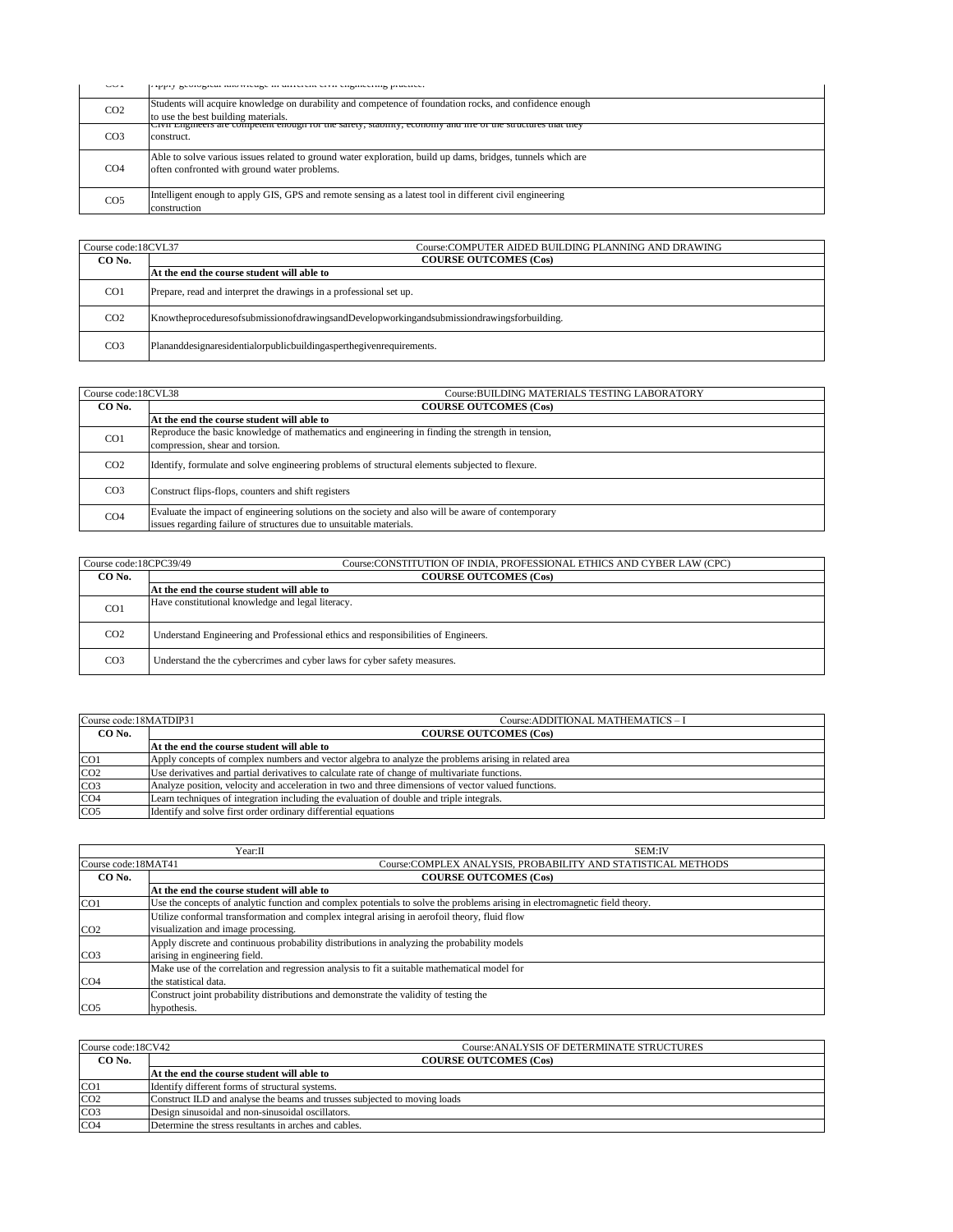| w               | pappry georogical mownedge in unrerent cryn engineering praetice.                                                                                           |
|-----------------|-------------------------------------------------------------------------------------------------------------------------------------------------------------|
| CO <sub>2</sub> | Students will acquire knowledge on durability and competence of foundation rocks, and confidence enough<br>to use the best building materials.              |
| CO <sub>3</sub> | Civil Engineers are competent enough for the safety, stability, economy and the of the structures that they<br>construct.                                   |
| CO <sub>4</sub> | Able to solve various issues related to ground water exploration, build up dams, bridges, tunnels which are<br>often confronted with ground water problems. |
| CO <sub>5</sub> | Intelligent enough to apply GIS, GPS and remote sensing as a latest tool in different civil engineering<br>construction                                     |

| Course code:18CVL37 | Course: COMPUTER AIDED BUILDING PLANNING AND DRAWING                                                   |
|---------------------|--------------------------------------------------------------------------------------------------------|
| CO No.              | <b>COURSE OUTCOMES (Cos)</b>                                                                           |
|                     | At the end the course student will able to                                                             |
| CO <sub>1</sub>     | Prepare, read and interpret the drawings in a professional set up.                                     |
| CO <sub>2</sub>     | Knowthe procedures of submission of drawings and Develop working and submission drawings for building. |
| CO <sub>3</sub>     | Plananddesignaresidentialorpublicbuildingasperthegivenrequirements.                                    |

| Course code:18CVL38 | Course: BUILDING MATERIALS TESTING LABORATORY                                                                                                                             |
|---------------------|---------------------------------------------------------------------------------------------------------------------------------------------------------------------------|
| CO No.              | <b>COURSE OUTCOMES (Cos)</b>                                                                                                                                              |
|                     | At the end the course student will able to                                                                                                                                |
| CO <sub>1</sub>     | Reproduce the basic knowledge of mathematics and engineering in finding the strength in tension,                                                                          |
|                     | compression, shear and torsion.                                                                                                                                           |
| CO <sub>2</sub>     | Identify, formulate and solve engineering problems of structural elements subjected to flexure.                                                                           |
| CO <sub>3</sub>     | Construct flips-flops, counters and shift registers                                                                                                                       |
| CO <sub>4</sub>     | Evaluate the impact of engineering solutions on the society and also will be aware of contemporary<br>issues regarding failure of structures due to unsuitable materials. |

| Course code:18CPC39/49 | Course:CONSTITUTION OF INDIA, PROFESSIONAL ETHICS AND CYBER LAW (CPC)             |
|------------------------|-----------------------------------------------------------------------------------|
| CO No.                 | <b>COURSE OUTCOMES (Cos)</b>                                                      |
|                        | At the end the course student will able to                                        |
| CO <sub>1</sub>        | Have constitutional knowledge and legal literacy.                                 |
| CO <sub>2</sub>        | Understand Engineering and Professional ethics and responsibilities of Engineers. |
| CO <sub>3</sub>        | Understand the the cybercrimes and cyber laws for cyber safety measures.          |

| Course code:18MATDIP31 | Course: ADDITIONAL MATHEMATICS - I                                                                   |
|------------------------|------------------------------------------------------------------------------------------------------|
| CO No.                 | <b>COURSE OUTCOMES (Cos)</b>                                                                         |
|                        | At the end the course student will able to                                                           |
| CO <sub>1</sub>        | Apply concepts of complex numbers and vector algebra to analyze the problems arising in related area |
| CO <sub>2</sub>        | Use derivatives and partial derivatives to calculate rate of change of multivariate functions.       |
| CO <sub>3</sub>        | Analyze position, velocity and acceleration in two and three dimensions of vector valued functions.  |
| CO <sub>4</sub>        | Learn techniques of integration including the evaluation of double and triple integrals.             |
| CO <sub>5</sub>        | Identify and solve first order ordinary differential equations                                       |

| Year:II<br><b>SEM:IV</b> |                                                                                                                             |
|--------------------------|-----------------------------------------------------------------------------------------------------------------------------|
| Course code:18MAT41      | Course:COMPLEX ANALYSIS, PROBABILITY AND STATISTICAL METHODS                                                                |
| CO No.                   | <b>COURSE OUTCOMES (Cos)</b>                                                                                                |
|                          | At the end the course student will able to                                                                                  |
| CO <sub>1</sub>          | Use the concepts of analytic function and complex potentials to solve the problems arising in electromagnetic field theory. |
|                          | Utilize conformal transformation and complex integral arising in aerofoil theory, fluid flow                                |
| CO <sub>2</sub>          | visualization and image processing.                                                                                         |
|                          | Apply discrete and continuous probability distributions in analyzing the probability models                                 |
| CO <sub>3</sub>          | arising in engineering field.                                                                                               |
|                          | Make use of the correlation and regression analysis to fit a suitable mathematical model for                                |
| CO <sub>4</sub>          | the statistical data.                                                                                                       |
|                          | Construct joint probability distributions and demonstrate the validity of testing the                                       |
| CO <sub>5</sub>          | hypothesis.                                                                                                                 |

| Course code:18CV42 | <b>Course: ANALYSIS OF DETERMINATE STRUCTURES</b>                         |
|--------------------|---------------------------------------------------------------------------|
| CO <sub>No.</sub>  | <b>COURSE OUTCOMES (Cos)</b>                                              |
|                    | At the end the course student will able to                                |
| CO <sub>1</sub>    | Identify different forms of structural systems.                           |
| CO <sub>2</sub>    | Construct ILD and analyse the beams and trusses subjected to moving loads |
| CO <sub>3</sub>    | Design sinusoidal and non-sinusoidal oscillators.                         |
| CO <sub>4</sub>    | Determine the stress resultants in arches and cables.                     |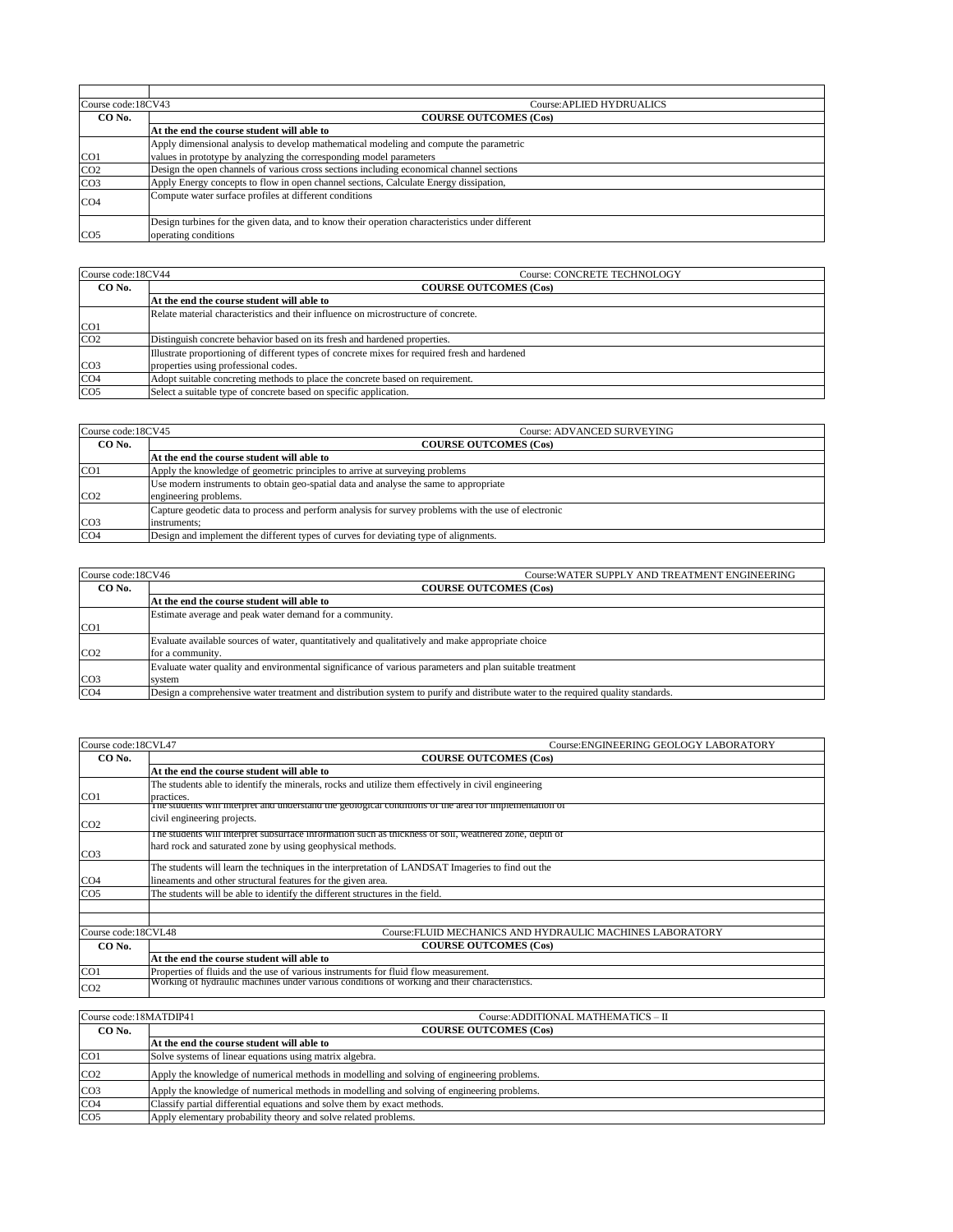| Course code:18CV43<br>Course: APLIED HYDRUALICS |                                                                                                 |
|-------------------------------------------------|-------------------------------------------------------------------------------------------------|
| CO No.                                          | <b>COURSE OUTCOMES (Cos)</b>                                                                    |
|                                                 | At the end the course student will able to                                                      |
|                                                 | Apply dimensional analysis to develop mathematical modeling and compute the parametric          |
| CO <sub>1</sub>                                 | values in prototype by analyzing the corresponding model parameters                             |
| CO <sub>2</sub>                                 | Design the open channels of various cross sections including economical channel sections        |
| CO <sub>3</sub>                                 | Apply Energy concepts to flow in open channel sections, Calculate Energy dissipation,           |
| CO <sub>4</sub>                                 | Compute water surface profiles at different conditions                                          |
|                                                 | Design turbines for the given data, and to know their operation characteristics under different |
| CO <sub>5</sub>                                 | operating conditions                                                                            |

| Course code:18CV44 | Course: CONCRETE TECHNOLOGY                                                                   |
|--------------------|-----------------------------------------------------------------------------------------------|
| CO No.             | <b>COURSE OUTCOMES (Cos)</b>                                                                  |
|                    | At the end the course student will able to                                                    |
|                    | Relate material characteristics and their influence on microstructure of concrete.            |
| CO <sub>1</sub>    |                                                                                               |
| CO <sub>2</sub>    | Distinguish concrete behavior based on its fresh and hardened properties.                     |
|                    | Illustrate proportioning of different types of concrete mixes for required fresh and hardened |
| CO <sub>3</sub>    | properties using professional codes.                                                          |
| CO <sub>4</sub>    | Adopt suitable concreting methods to place the concrete based on requirement.                 |
| CO <sub>5</sub>    | Select a suitable type of concrete based on specific application.                             |

| Course code:18CV45 | Course: ADVANCED SURVEYING                                                                           |
|--------------------|------------------------------------------------------------------------------------------------------|
| CO No.             | <b>COURSE OUTCOMES (Cos)</b>                                                                         |
|                    | At the end the course student will able to                                                           |
| CO <sub>1</sub>    | Apply the knowledge of geometric principles to arrive at surveying problems                          |
|                    | Use modern instruments to obtain geo-spatial data and analyse the same to appropriate                |
| CO <sub>2</sub>    | engineering problems.                                                                                |
|                    | Capture geodetic data to process and perform analysis for survey problems with the use of electronic |
| CO <sub>3</sub>    | instruments:                                                                                         |
| CO <sub>4</sub>    | Design and implement the different types of curves for deviating type of alignments.                 |

| Course code:18CV46 | Course: WATER SUPPLY AND TREATMENT ENGINEERING                                                                                   |
|--------------------|----------------------------------------------------------------------------------------------------------------------------------|
| CO No.             | <b>COURSE OUTCOMES (Cos)</b>                                                                                                     |
|                    | At the end the course student will able to                                                                                       |
|                    | Estimate average and peak water demand for a community.                                                                          |
| CO <sub>1</sub>    |                                                                                                                                  |
|                    | Evaluate available sources of water, quantitatively and qualitatively and make appropriate choice                                |
| CO <sub>2</sub>    | for a community.                                                                                                                 |
|                    | Evaluate water quality and environmental significance of various parameters and plan suitable treatment                          |
| CO <sub>3</sub>    | system                                                                                                                           |
| CO <sub>4</sub>    | Design a comprehensive water treatment and distribution system to purify and distribute water to the required quality standards. |

| Course code:18CVL47<br>Course: ENGINEERING GEOLOGY LABORATORY |                                                                                                        |
|---------------------------------------------------------------|--------------------------------------------------------------------------------------------------------|
| CO <sub>No.</sub>                                             | <b>COURSE OUTCOMES (Cos)</b>                                                                           |
|                                                               | At the end the course student will able to                                                             |
|                                                               | The students able to identify the minerals, rocks and utilize them effectively in civil engineering    |
| CO <sub>1</sub>                                               | practices.                                                                                             |
|                                                               | The students will interpret and understand the geological conditions of the area for implementation of |
| CO <sub>2</sub>                                               | civil engineering projects.                                                                            |
|                                                               | The students will interpret subsurface information such as thickness of soil, weathered zone, depth of |
| CO <sub>3</sub>                                               | hard rock and saturated zone by using geophysical methods.                                             |
|                                                               | The students will learn the techniques in the interpretation of LANDSAT Imageries to find out the      |
| CO <sub>4</sub>                                               | lineaments and other structural features for the given area.                                           |
| CO <sub>5</sub>                                               | The students will be able to identify the different structures in the field.                           |
|                                                               |                                                                                                        |
|                                                               |                                                                                                        |
| Course code:18CVL48                                           | Course: FLUID MECHANICS AND HYDRAULIC MACHINES LABORATORY                                              |
| CO <sub>No.</sub>                                             | <b>COURSE OUTCOMES (Cos)</b>                                                                           |
|                                                               | At the end the course student will able to                                                             |
| CO1                                                           | Properties of fluids and the use of various instruments for fluid flow measurement.                    |
| CO <sub>2</sub>                                               | Working of hydraulic machines under various conditions of working and their characteristics.           |
|                                                               |                                                                                                        |
| Course code: 18MATDIP41                                       | Course: ADDITIONAL MATHEMATICS - II                                                                    |

| CO No.           | <b>COURSE OUTCOMES (Cos)</b>                                                               |
|------------------|--------------------------------------------------------------------------------------------|
|                  | At the end the course student will able to                                                 |
| CO <sub>1</sub>  | Solve systems of linear equations using matrix algebra.                                    |
| CO <sub>2</sub>  | Apply the knowledge of numerical methods in modelling and solving of engineering problems. |
| CO <sub>3</sub>  | Apply the knowledge of numerical methods in modelling and solving of engineering problems. |
| $\overline{CO4}$ | Classify partial differential equations and solve them by exact methods.                   |
| CO <sub>5</sub>  | Apply elementary probability theory and solve related problems.                            |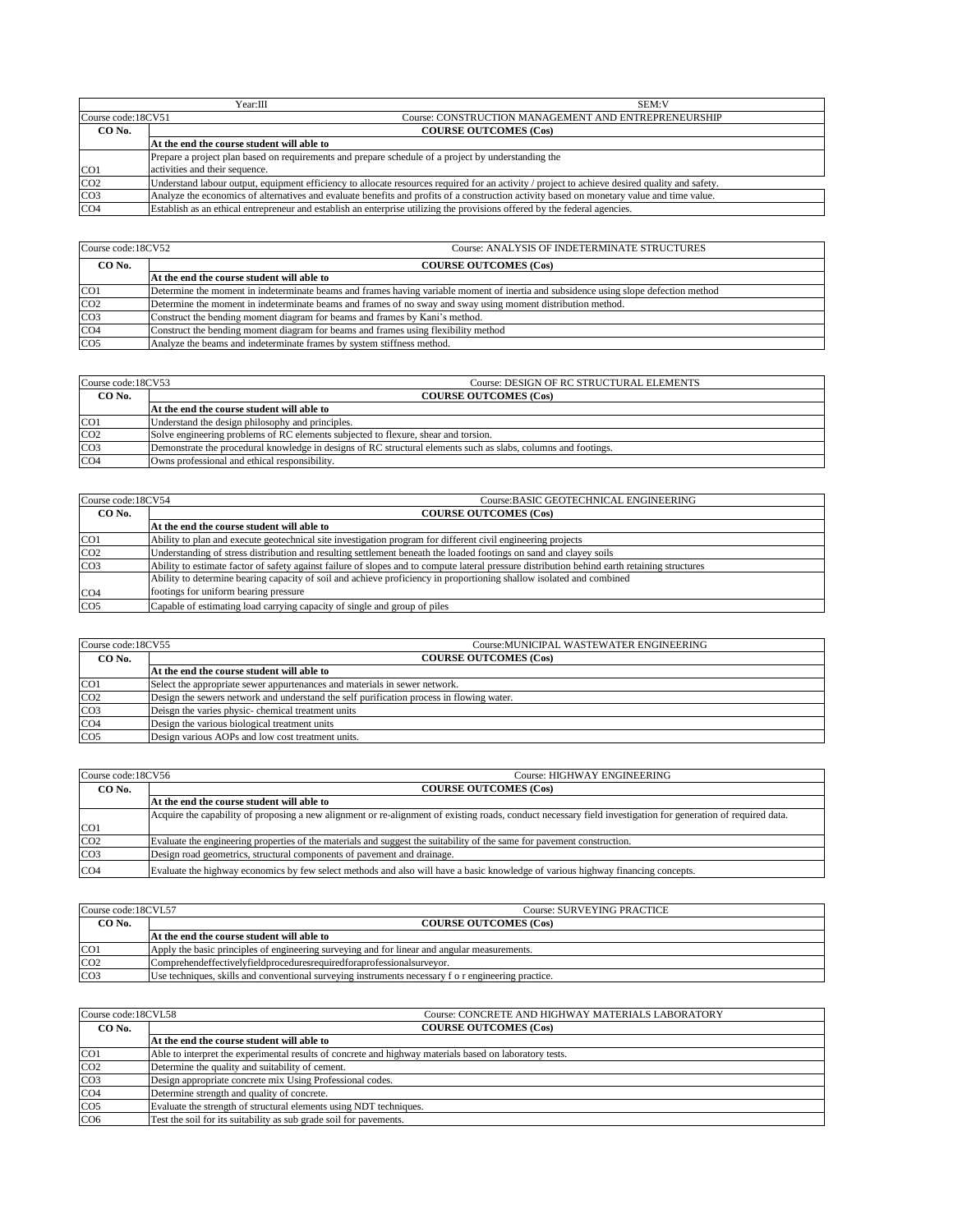|                    | Year:III<br>SEM:V                                                                                                                              |
|--------------------|------------------------------------------------------------------------------------------------------------------------------------------------|
| Course code:18CV51 | Course: CONSTRUCTION MANAGEMENT AND ENTREPRENEURSHIP                                                                                           |
| CO No.             | <b>COURSE OUTCOMES (Cos)</b>                                                                                                                   |
|                    | At the end the course student will able to                                                                                                     |
|                    | Prepare a project plan based on requirements and prepare schedule of a project by understanding the                                            |
| CO1                | activities and their sequence.                                                                                                                 |
| CO <sub>2</sub>    | Understand labour output, equipment efficiency to allocate resources required for an activity / project to achieve desired quality and safety. |
| CO <sub>3</sub>    | Analyze the economics of alternatives and evaluate benefits and profits of a construction activity based on monetary value and time value.     |
| CO <sub>4</sub>    | Establish as an ethical entrepreneur and establish an enterprise utilizing the provisions offered by the federal agencies.                     |
|                    |                                                                                                                                                |

| Course code:18CV52 | <b>Course: ANALYSIS OF INDETERMINATE STRUCTURES</b>                                                                                  |
|--------------------|--------------------------------------------------------------------------------------------------------------------------------------|
| CO No.             | <b>COURSE OUTCOMES (Cos)</b>                                                                                                         |
|                    | At the end the course student will able to                                                                                           |
| CO <sub>1</sub>    | Determine the moment in indeterminate beams and frames having variable moment of inertia and subsidence using slope defection method |
| CO <sub>2</sub>    | Determine the moment in indeterminate beams and frames of no sway and sway using moment distribution method.                         |
| CO <sub>3</sub>    | Construct the bending moment diagram for beams and frames by Kani's method.                                                          |
| CO <sub>4</sub>    | Construct the bending moment diagram for beams and frames using flexibility method                                                   |
| CO <sub>5</sub>    | Analyze the beams and indeterminate frames by system stiffness method.                                                               |

| Course code:18CV53 | <b>Course: DESIGN OF RC STRUCTURAL ELEMENTS</b>                                                                |
|--------------------|----------------------------------------------------------------------------------------------------------------|
| CO No.             | <b>COURSE OUTCOMES (Cos)</b>                                                                                   |
|                    | At the end the course student will able to                                                                     |
| CO <sub>1</sub>    | Understand the design philosophy and principles.                                                               |
| CO <sub>2</sub>    | Solve engineering problems of RC elements subjected to flexure, shear and torsion.                             |
| CO <sub>3</sub>    | Demonstrate the procedural knowledge in designs of RC structural elements such as slabs, columns and footings. |
| CO <sub>4</sub>    | Owns professional and ethical responsibility.                                                                  |

| Course code:18CV54 | Course: BASIC GEOTECHNICAL ENGINEERING                                                                                                        |
|--------------------|-----------------------------------------------------------------------------------------------------------------------------------------------|
| CO No.             | <b>COURSE OUTCOMES (Cos)</b>                                                                                                                  |
|                    | At the end the course student will able to                                                                                                    |
| CO <sub>1</sub>    | Ability to plan and execute geotechnical site investigation program for different civil engineering projects                                  |
| CO <sub>2</sub>    | Understanding of stress distribution and resulting settlement beneath the loaded footings on sand and clayey soils                            |
| CO <sub>3</sub>    | Ability to estimate factor of safety against failure of slopes and to compute lateral pressure distribution behind earth retaining structures |
|                    | Ability to determine bearing capacity of soil and achieve proficiency in proportioning shallow isolated and combined                          |
| CO <sub>4</sub>    | footings for uniform bearing pressure                                                                                                         |
| CO <sub>5</sub>    | Capable of estimating load carrying capacity of single and group of piles                                                                     |

| Course code:18CV55 | Course: MUNICIPAL WASTEWATER ENGINEERING                                                 |
|--------------------|------------------------------------------------------------------------------------------|
| CO No.             | <b>COURSE OUTCOMES (Cos)</b>                                                             |
|                    | At the end the course student will able to                                               |
| CO <sub>1</sub>    | Select the appropriate sewer appurtenances and materials in sewer network.               |
| CO <sub>2</sub>    | Design the sewers network and understand the self purification process in flowing water. |
| CO <sub>3</sub>    | Deisgn the varies physic- chemical treatment units                                       |
| CO <sub>4</sub>    | Design the various biological treatment units                                            |
| CO <sub>5</sub>    | Design various AOPs and low cost treatment units.                                        |

| Course code:18CV56 | Course: HIGHWAY ENGINEERING                                                                                                                                   |  |
|--------------------|---------------------------------------------------------------------------------------------------------------------------------------------------------------|--|
| CO No.             | <b>COURSE OUTCOMES (Cos)</b>                                                                                                                                  |  |
|                    | At the end the course student will able to                                                                                                                    |  |
|                    | Acquire the capability of proposing a new alignment or re-alignment of existing roads, conduct necessary field investigation for generation of required data. |  |
| CO <sub>1</sub>    |                                                                                                                                                               |  |
| CO <sub>2</sub>    | Evaluate the engineering properties of the materials and suggest the suitability of the same for pavement construction.                                       |  |
| CO <sub>3</sub>    | Design road geometrics, structural components of pavement and drainage.                                                                                       |  |
| CO <sub>4</sub>    | Evaluate the highway economics by few select methods and also will have a basic knowledge of various highway financing concepts.                              |  |

| Course code:18CVL57<br><b>Course: SURVEYING PRACTICE</b> |                                                                                                     |  |
|----------------------------------------------------------|-----------------------------------------------------------------------------------------------------|--|
| CO No.                                                   | <b>COURSE OUTCOMES (Cos)</b>                                                                        |  |
|                                                          | At the end the course student will able to                                                          |  |
| CO <sub>1</sub>                                          | Apply the basic principles of engineering surveying and for linear and angular measurements.        |  |
| CO <sub>2</sub>                                          | Comprehendeffectivelyfieldproceduresrequiredforaprofessionalsurveyor.                               |  |
| CO <sub>3</sub>                                          | Use techniques, skills and conventional surveying instruments necessary f o r engineering practice. |  |

| Course code:18CVL58 | Course: CONCRETE AND HIGHWAY MATERIALS LABORATORY                                                       |  |
|---------------------|---------------------------------------------------------------------------------------------------------|--|
| CO No.              | <b>COURSE OUTCOMES (Cos)</b>                                                                            |  |
|                     | At the end the course student will able to                                                              |  |
| CO <sub>1</sub>     | Able to interpret the experimental results of concrete and highway materials based on laboratory tests. |  |
| CO <sub>2</sub>     | Determine the quality and suitability of cement.                                                        |  |
| CO <sub>3</sub>     | Design appropriate concrete mix Using Professional codes.                                               |  |
| CO <sub>4</sub>     | Determine strength and quality of concrete.                                                             |  |
| CO <sub>5</sub>     | Evaluate the strength of structural elements using NDT techniques.                                      |  |
| CO <sub>6</sub>     | Test the soil for its suitability as sub grade soil for pavements.                                      |  |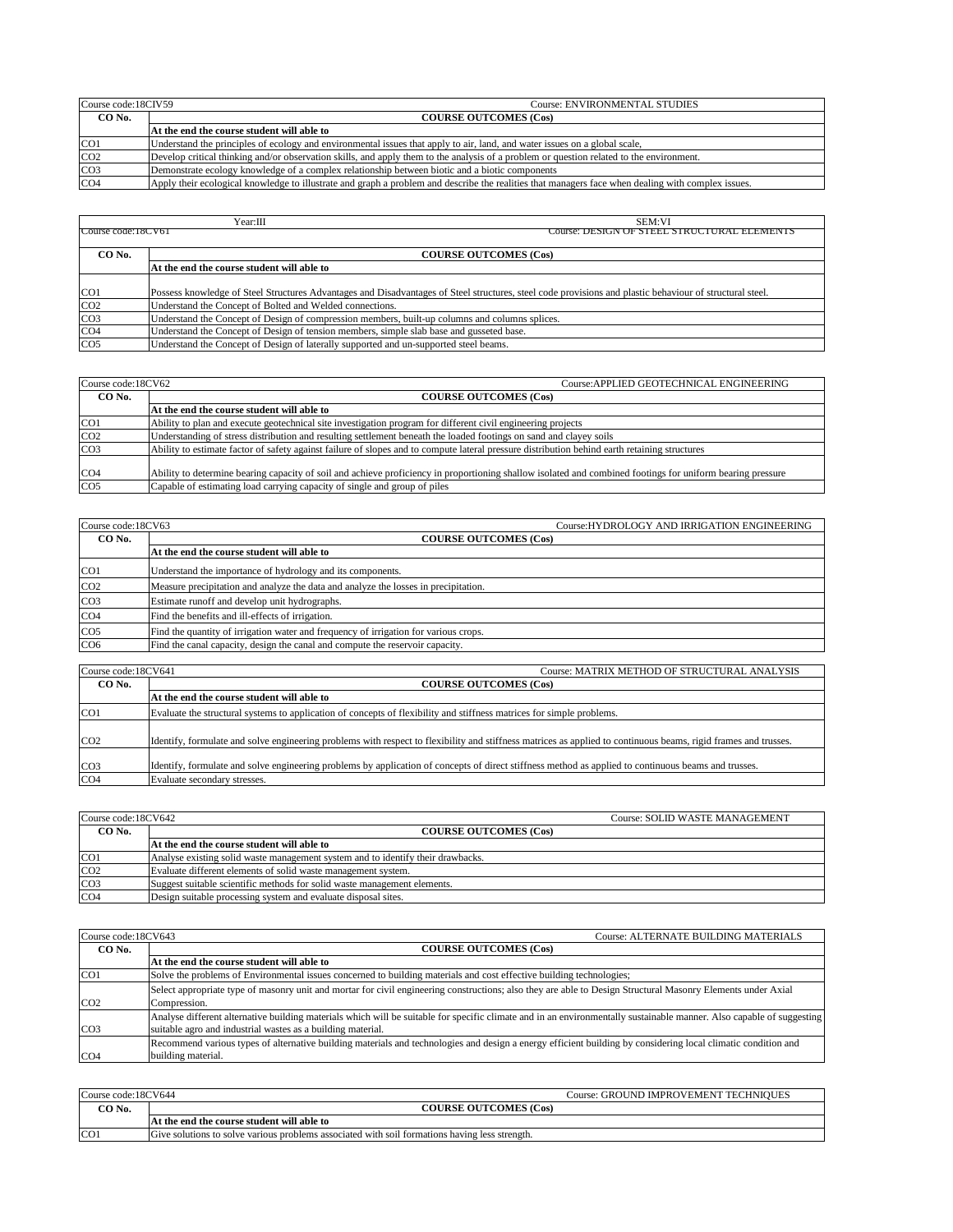| Course code:18CIV59 | <b>Course: ENVIRONMENTAL STUDIES</b>                                                                                                               |  |
|---------------------|----------------------------------------------------------------------------------------------------------------------------------------------------|--|
| CO No.              | <b>COURSE OUTCOMES (Cos)</b>                                                                                                                       |  |
|                     | At the end the course student will able to                                                                                                         |  |
| CO <sub>1</sub>     | Understand the principles of ecology and environmental issues that apply to air, land, and water issues on a global scale,                         |  |
| CO <sub>2</sub>     | Develop critical thinking and/or observation skills, and apply them to the analysis of a problem or question related to the environment.           |  |
| CO <sub>3</sub>     | Demonstrate ecology knowledge of a complex relationship between biotic and a biotic components                                                     |  |
| CO <sub>4</sub>     | Apply their ecological knowledge to illustrate and graph a problem and describe the realities that managers face when dealing with complex issues. |  |

|                    | Year:III<br><b>SEM:VI</b>                                                                                                                                |
|--------------------|----------------------------------------------------------------------------------------------------------------------------------------------------------|
| Course code:18CV61 | Course: DESIGN OF STEEL STRUCTURAL ELEMENTS                                                                                                              |
| CO No.             | <b>COURSE OUTCOMES (Cos)</b>                                                                                                                             |
|                    | At the end the course student will able to                                                                                                               |
|                    |                                                                                                                                                          |
| CO <sub>1</sub>    | Possess knowledge of Steel Structures Advantages and Disadvantages of Steel structures, steel code provisions and plastic behaviour of structural steel. |
| CO <sub>2</sub>    | Understand the Concept of Bolted and Welded connections.                                                                                                 |
| CO <sub>3</sub>    | Understand the Concept of Design of compression members, built-up columns and columns splices.                                                           |
| CO <sub>4</sub>    | Understand the Concept of Design of tension members, simple slab base and gusseted base.                                                                 |
| CO <sub>5</sub>    | Understand the Concept of Design of laterally supported and un-supported steel beams.                                                                    |

| Course code:18CV62 | Course: APPLIED GEOTECHNICAL ENGINEERING                                                                                                                   |  |
|--------------------|------------------------------------------------------------------------------------------------------------------------------------------------------------|--|
| CO No.             | <b>COURSE OUTCOMES (Cos)</b>                                                                                                                               |  |
|                    | At the end the course student will able to                                                                                                                 |  |
| CO <sub>1</sub>    | Ability to plan and execute geotechnical site investigation program for different civil engineering projects                                               |  |
| CO <sub>2</sub>    | Understanding of stress distribution and resulting settlement beneath the loaded footings on sand and clayey soils                                         |  |
| CO <sub>3</sub>    | Ability to estimate factor of safety against failure of slopes and to compute lateral pressure distribution behind earth retaining structures              |  |
|                    |                                                                                                                                                            |  |
| CO <sub>4</sub>    | Ability to determine bearing capacity of soil and achieve proficiency in proportioning shallow isolated and combined footings for uniform bearing pressure |  |
| CO <sub>5</sub>    | Capable of estimating load carrying capacity of single and group of piles                                                                                  |  |

| Course code:18CV63                                                                   | Course: HYDROLOGY AND IRRIGATION ENGINEERING |
|--------------------------------------------------------------------------------------|----------------------------------------------|
| <b>COURSE OUTCOMES (Cos)</b>                                                         |                                              |
| At the end the course student will able to                                           |                                              |
| Understand the importance of hydrology and its components.                           |                                              |
| Measure precipitation and analyze the data and analyze the losses in precipitation.  |                                              |
| Estimate runoff and develop unit hydrographs.                                        |                                              |
| Find the benefits and ill-effects of irrigation.                                     |                                              |
| Find the quantity of irrigation water and frequency of irrigation for various crops. |                                              |
| Find the canal capacity, design the canal and compute the reservoir capacity.        |                                              |
|                                                                                      |                                              |

| Course code:18CV641 | Course: MATRIX METHOD OF STRUCTURAL ANALYSIS                                                                                                                    |  |
|---------------------|-----------------------------------------------------------------------------------------------------------------------------------------------------------------|--|
| CO No.              | <b>COURSE OUTCOMES (Cos)</b>                                                                                                                                    |  |
|                     | At the end the course student will able to                                                                                                                      |  |
| CO <sub>1</sub>     | Evaluate the structural systems to application of concepts of flexibility and stiffness matrices for simple problems.                                           |  |
|                     |                                                                                                                                                                 |  |
| CO <sub>2</sub>     | Identify, formulate and solve engineering problems with respect to flexibility and stiffness matrices as applied to continuous beams, rigid frames and trusses. |  |
|                     |                                                                                                                                                                 |  |
| CO <sub>3</sub>     | Identify, formulate and solve engineering problems by application of concepts of direct stiffness method as applied to continuous beams and trusses.            |  |
| CO <sub>4</sub>     | Evaluate secondary stresses.                                                                                                                                    |  |

| Course code:18CV642 |                                                                                 | Course: SOLID WASTE MANAGEMENT |
|---------------------|---------------------------------------------------------------------------------|--------------------------------|
| CO No.              | <b>COURSE OUTCOMES (Cos)</b>                                                    |                                |
|                     | At the end the course student will able to                                      |                                |
| CO <sub>1</sub>     | Analyse existing solid waste management system and to identify their drawbacks. |                                |
| CO <sub>2</sub>     | Evaluate different elements of solid waste management system.                   |                                |
| CO <sub>3</sub>     | Suggest suitable scientific methods for solid waste management elements.        |                                |
| CO <sub>4</sub>     | Design suitable processing system and evaluate disposal sites.                  |                                |

| Course code:18CV643 | Course: ALTERNATE BUILDING MATERIALS                                                                                                                                  |  |
|---------------------|-----------------------------------------------------------------------------------------------------------------------------------------------------------------------|--|
| CO No.              | <b>COURSE OUTCOMES (Cos)</b>                                                                                                                                          |  |
|                     | At the end the course student will able to                                                                                                                            |  |
| CO <sub>1</sub>     | Solve the problems of Environmental issues concerned to building materials and cost effective building technologies;                                                  |  |
|                     | Select appropriate type of masonry unit and mortar for civil engineering constructions; also they are able to Design Structural Masonry Elements under Axial          |  |
| CO <sub>2</sub>     | Compression.                                                                                                                                                          |  |
|                     | Analyse different alternative building materials which will be suitable for specific climate and in an environmentally sustainable manner. Also capable of suggesting |  |
| CO <sub>3</sub>     | suitable agro and industrial wastes as a building material.                                                                                                           |  |
|                     | Recommend various types of alternative building materials and technologies and design a energy efficient building by considering local climatic condition and         |  |
| CO <sub>4</sub>     | building material.                                                                                                                                                    |  |

| Course code:18CV644 | Course: GROUND IMPROVEMENT TECHNIOUES                                                          |
|---------------------|------------------------------------------------------------------------------------------------|
| $\circ$ O No.       | <b>COURSE OUTCOMES (Cos)</b>                                                                   |
|                     | At the end the course student will able to                                                     |
| CO <sub>1</sub>     | Give solutions to solve various problems associated with soil formations having less strength. |
|                     |                                                                                                |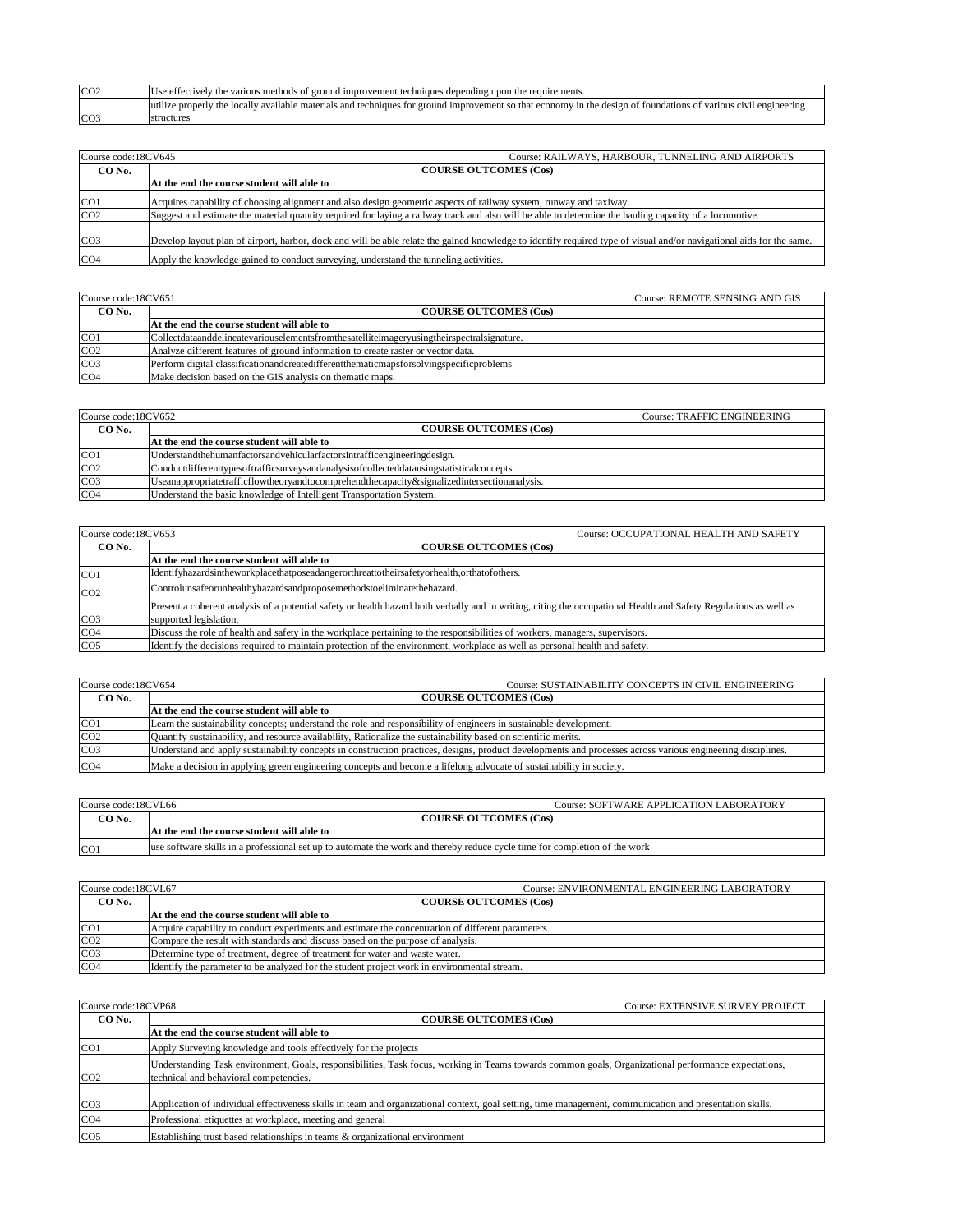| ICO <sub>2</sub> | the various methods of ground improvement techniques depending upon the requirements.                                                                            |  |
|------------------|------------------------------------------------------------------------------------------------------------------------------------------------------------------|--|
|                  | utilize properly the locally available materials and techniques for ground improvement so that economy in the design of foundations of various civil engineering |  |
| CO <sub>3</sub>  | structures                                                                                                                                                       |  |

| Course code:18CV645<br>Course: RAILWAYS, HARBOUR, TUNNELING AND AIRPORTS |                                                                                                                                                                      |  |
|--------------------------------------------------------------------------|----------------------------------------------------------------------------------------------------------------------------------------------------------------------|--|
| CO No.                                                                   | <b>COURSE OUTCOMES (Cos)</b>                                                                                                                                         |  |
|                                                                          | At the end the course student will able to                                                                                                                           |  |
| CO <sub>1</sub>                                                          | Acquires capability of choosing alignment and also design geometric aspects of railway system, runway and taxiway.                                                   |  |
| CO <sub>2</sub>                                                          | Suggest and estimate the material quantity required for laying a railway track and also will be able to determine the hauling capacity of a locomotive.              |  |
| CO <sub>3</sub>                                                          | Develop layout plan of airport, harbor, dock and will be able relate the gained knowledge to identify required type of visual and/or navigational aids for the same. |  |
| CO <sub>4</sub>                                                          | Apply the knowledge gained to conduct surveying, understand the tunneling activities.                                                                                |  |

| Course code:18CV651 |                                                                                                   | Course: REMOTE SENSING AND GIS |
|---------------------|---------------------------------------------------------------------------------------------------|--------------------------------|
| CO <sub>No.</sub>   | <b>COURSE OUTCOMES (Cos)</b>                                                                      |                                |
|                     | At the end the course student will able to                                                        |                                |
| CO <sub>1</sub>     | Collectdataanddelineatevariouselementsfromthesatelliteimageryusingtheirspectralsignature.         |                                |
| CO <sub>2</sub>     | Analyze different features of ground information to create raster or vector data.                 |                                |
| CO <sub>3</sub>     | Perform digital classification and created if ferent the matic maps for solving specific problems |                                |
| CO <sub>4</sub>     | Make decision based on the GIS analysis on thematic maps.                                         |                                |

| Course code:18CV652 | <b>Course: TRAFFIC ENGINEERING</b>                                                                   |  |
|---------------------|------------------------------------------------------------------------------------------------------|--|
| CO No.              | <b>COURSE OUTCOMES (Cos)</b>                                                                         |  |
|                     | At the end the course student will able to                                                           |  |
| CO <sub>1</sub>     | Understandthehumanfactorsandvehicularfactorsintrafficengineeringdesign.                              |  |
| CO <sub>2</sub>     | Conductdifferenttypesoftrafficsurveysandanalysisofcollecteddatausingstatisticalconcepts.             |  |
| CO <sub>3</sub>     | Useanappropriatetrafficflowtheoryandtocomprehend the capacity $\&$ signalized intersection analysis. |  |
| CO <sub>4</sub>     | Understand the basic knowledge of Intelligent Transportation System.                                 |  |

| Course code:18CV653 | Course: OCCUPATIONAL HEALTH AND SAFETY                                                                                                                            |  |
|---------------------|-------------------------------------------------------------------------------------------------------------------------------------------------------------------|--|
| CO No.              | <b>COURSE OUTCOMES (Cos)</b>                                                                                                                                      |  |
|                     | At the end the course student will able to                                                                                                                        |  |
| CO <sub>1</sub>     | Identifyhazardsintheworkplacethatposeadangerorthreattotheirsafetyorhealth,orthatofothers.                                                                         |  |
| CO <sub>2</sub>     | Controlunsafeorunhealthyhazardsandproposemethodstoeliminatethehazard.                                                                                             |  |
|                     | Present a coherent analysis of a potential safety or health hazard both verbally and in writing, citing the occupational Health and Safety Regulations as well as |  |
| CO <sub>3</sub>     | supported legislation.                                                                                                                                            |  |
| CO <sub>4</sub>     | Discuss the role of health and safety in the workplace pertaining to the responsibilities of workers, managers, supervisors.                                      |  |
| CO <sub>5</sub>     | Identify the decisions required to maintain protection of the environment, workplace as well as personal health and safety.                                       |  |

| Course code:18CV654 | Course: SUSTAINABILITY CONCEPTS IN CIVIL ENGINEERING                                                                                                        |  |
|---------------------|-------------------------------------------------------------------------------------------------------------------------------------------------------------|--|
| CO No.              | <b>COURSE OUTCOMES (Cos)</b>                                                                                                                                |  |
|                     | At the end the course student will able to                                                                                                                  |  |
| CO <sub>1</sub>     | Learn the sustainability concepts; understand the role and responsibility of engineers in sustainable development.                                          |  |
| CO <sub>2</sub>     | Quantify sustainability, and resource availability, Rationalize the sustainability based on scientific merits.                                              |  |
| CO <sub>3</sub>     | Understand and apply sustainability concepts in construction practices, designs, product developments and processes across various engineering disciplines. |  |
| CO <sub>4</sub>     | Make a decision in applying green engineering concepts and become a lifelong advocate of sustainability in society.                                         |  |

| Course code:18CVL66 | Course: SOFTWARE APPLICATION LABORATORY                                                                                    |
|---------------------|----------------------------------------------------------------------------------------------------------------------------|
| CO No.              | <b>COURSE OUTCOMES (Cos)</b>                                                                                               |
|                     | At the end the course student will able to                                                                                 |
| CO <sub>1</sub>     | use software skills in a professional set up to automate the work and thereby reduce cycle time for completion of the work |

| Course code:18CVL67 | Course: ENVIRONMENTAL ENGINEERING LABORATORY                                                      |
|---------------------|---------------------------------------------------------------------------------------------------|
| CO No.              | <b>COURSE OUTCOMES (Cos)</b>                                                                      |
|                     | At the end the course student will able to                                                        |
| CO <sub>1</sub>     | Acquire capability to conduct experiments and estimate the concentration of different parameters. |
| CO <sub>2</sub>     | Compare the result with standards and discuss based on the purpose of analysis.                   |
| CO <sub>3</sub>     | Determine type of treatment, degree of treatment for water and waste water.                       |
| CO <sub>4</sub>     | Identify the parameter to be analyzed for the student project work in environmental stream.       |

| Course code:18CVP68                    | <b>Course: EXTENSIVE SURVEY PROJECT</b>                                                                                                                                                        |
|----------------------------------------|------------------------------------------------------------------------------------------------------------------------------------------------------------------------------------------------|
| CO No.<br><b>COURSE OUTCOMES (Cos)</b> |                                                                                                                                                                                                |
|                                        | At the end the course student will able to                                                                                                                                                     |
| CO <sub>1</sub>                        | Apply Surveying knowledge and tools effectively for the projects                                                                                                                               |
| CO <sub>2</sub>                        | Understanding Task environment, Goals, responsibilities, Task focus, working in Teams towards common goals, Organizational performance expectations,<br>technical and behavioral competencies. |
| CO <sub>3</sub>                        | Application of individual effectiveness skills in team and organizational context, goal setting, time management, communication and presentation skills.                                       |
| CO <sub>4</sub>                        | Professional etiquettes at workplace, meeting and general                                                                                                                                      |
| CO <sub>5</sub>                        | Establishing trust based relationships in teams & organizational environment                                                                                                                   |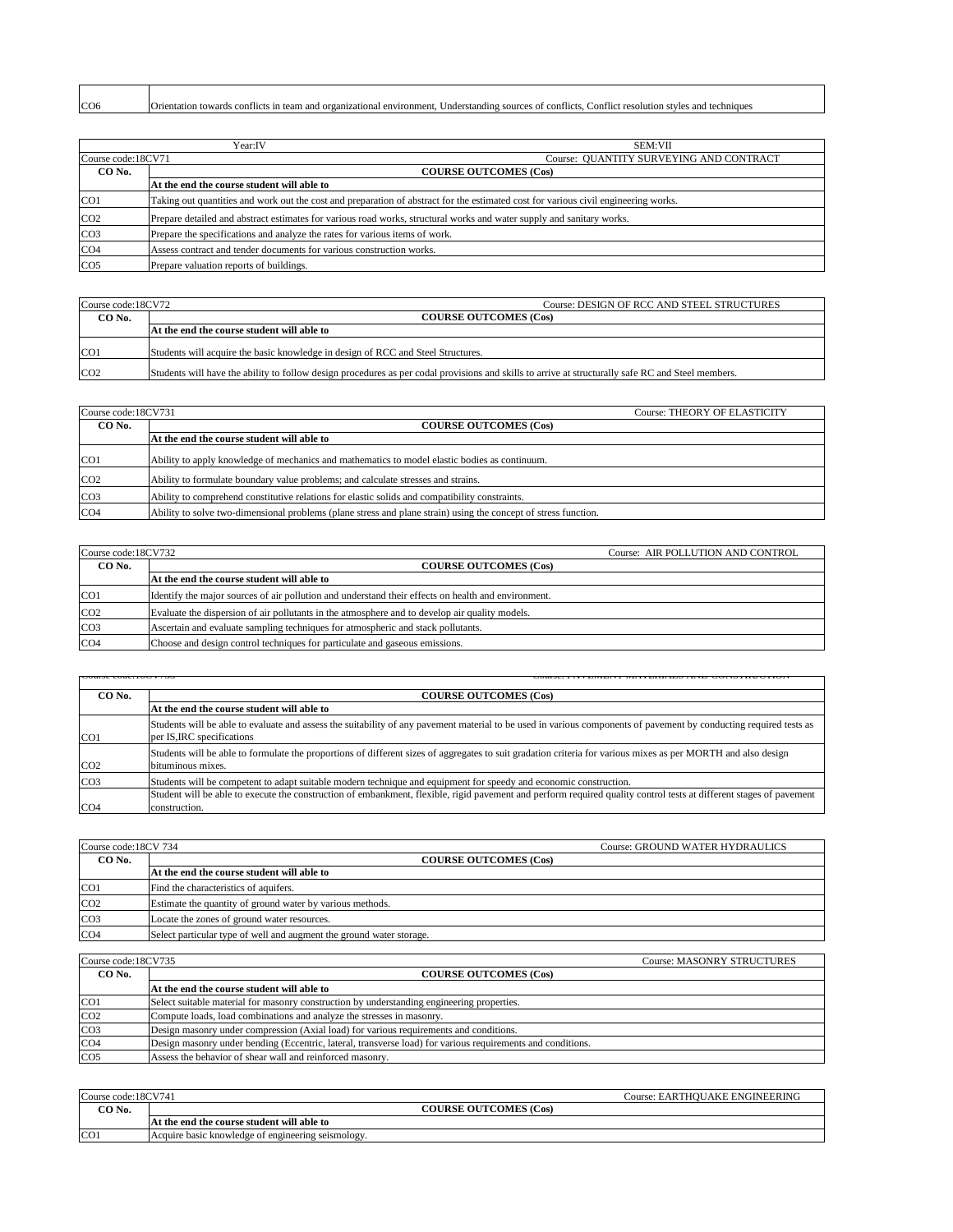| CO <sub>6</sub> | $-$<br>. environment<br>ontlict res<br>Inder<br>conflicts.<br>solution<br>and<br>ational:<br>$\cdots$ toward<br>con:<br>"standing<br>$^{\circ}$ OUICES $\cdot$<br>stvle<br>team<br>$\mathbf{C}^+$ |
|-----------------|---------------------------------------------------------------------------------------------------------------------------------------------------------------------------------------------------|

|                    | Year:IV<br>SEM:VII                                                                                                                  |
|--------------------|-------------------------------------------------------------------------------------------------------------------------------------|
| Course code:18CV71 | Course: QUANTITY SURVEYING AND CONTRACT                                                                                             |
| CO No.             | <b>COURSE OUTCOMES (Cos)</b>                                                                                                        |
|                    | At the end the course student will able to                                                                                          |
| CO <sub>1</sub>    | Taking out quantities and work out the cost and preparation of abstract for the estimated cost for various civil engineering works. |
| CO <sub>2</sub>    | Prepare detailed and abstract estimates for various road works, structural works and water supply and sanitary works.               |
| CO <sub>3</sub>    | Prepare the specifications and analyze the rates for various items of work.                                                         |
| CO <sub>4</sub>    | Assess contract and tender documents for various construction works.                                                                |
| CO <sub>5</sub>    | Prepare valuation reports of buildings.                                                                                             |

| Course code:18CV72 | <b>Course: DESIGN OF RCC AND STEEL STRUCTURES</b>                                                                                                  |
|--------------------|----------------------------------------------------------------------------------------------------------------------------------------------------|
| CO <sub>No.</sub>  | <b>COURSE OUTCOMES (Cos)</b>                                                                                                                       |
|                    | At the end the course student will able to                                                                                                         |
| CO <sub>1</sub>    | Students will acquire the basic knowledge in design of RCC and Steel Structures.                                                                   |
| CO <sub>2</sub>    | Students will have the ability to follow design procedures as per codal provisions and skills to arrive at structurally safe RC and Steel members. |

| Course code:18CV731 | Course: THEORY OF ELASTICITY                                                                                    |  |
|---------------------|-----------------------------------------------------------------------------------------------------------------|--|
| CO No.              | <b>COURSE OUTCOMES (Cos)</b>                                                                                    |  |
|                     | At the end the course student will able to                                                                      |  |
| CO <sub>1</sub>     | Ability to apply knowledge of mechanics and mathematics to model elastic bodies as continuum.                   |  |
| CO <sub>2</sub>     | Ability to formulate boundary value problems; and calculate stresses and strains.                               |  |
| CO <sub>3</sub>     | Ability to comprehend constitutive relations for elastic solids and compatibility constraints.                  |  |
| CO <sub>4</sub>     | Ability to solve two-dimensional problems (plane stress and plane strain) using the concept of stress function. |  |

| Course code:18CV732 |                                                                                                     | Course: AIR POLLUTION AND CONTROL |
|---------------------|-----------------------------------------------------------------------------------------------------|-----------------------------------|
| CO No.              | <b>COURSE OUTCOMES (Cos)</b>                                                                        |                                   |
|                     | At the end the course student will able to                                                          |                                   |
| CO <sub>1</sub>     | Identify the major sources of air pollution and understand their effects on health and environment. |                                   |
| CO <sub>2</sub>     | Evaluate the dispersion of air pollutants in the atmosphere and to develop air quality models.      |                                   |
| CO <sub>3</sub>     | Ascertain and evaluate sampling techniques for atmospheric and stack pollutants.                    |                                   |
| CO <sub>4</sub>     | Choose and design control techniques for particulate and gaseous emissions.                         |                                   |

| CULLISU CULLULULU 1.JJ |                                                                                                                                                                                                  |  |
|------------------------|--------------------------------------------------------------------------------------------------------------------------------------------------------------------------------------------------|--|
| CO No.                 | <b>COURSE OUTCOMES (Cos)</b>                                                                                                                                                                     |  |
|                        | At the end the course student will able to                                                                                                                                                       |  |
| ICO <sub>1</sub>       | Students will be able to evaluate and assess the suitability of any pavement material to be used in various components of pavement by conducting required tests as<br>per IS, IRC specifications |  |
| CO <sub>2</sub>        | Students will be able to formulate the proportions of different sizes of aggregates to suit gradation criteria for various mixes as per MORTH and also design<br>bituminous mixes.               |  |
| CO <sub>3</sub>        | Students will be competent to adapt suitable modern technique and equipment for speedy and economic construction.                                                                                |  |
| CO <sub>4</sub>        | Student will be able to execute the construction of embankment, flexible, rigid pavement and perform required quality control tests at different stages of pavement<br>construction.             |  |

| Course code:18CV 734 |                                                                      | Course: GROUND WATER HYDRAULICS |
|----------------------|----------------------------------------------------------------------|---------------------------------|
| CO No.               | <b>COURSE OUTCOMES (Cos)</b>                                         |                                 |
|                      | At the end the course student will able to                           |                                 |
| CO <sub>1</sub>      | Find the characteristics of aquifers.                                |                                 |
| CO <sub>2</sub>      | Estimate the quantity of ground water by various methods.            |                                 |
| CO <sub>3</sub>      | Locate the zones of ground water resources.                          |                                 |
| CO <sub>4</sub>      | Select particular type of well and augment the ground water storage. |                                 |

| Course code:18CV735 |                                                                                                             | <b>Course: MASONRY STRUCTURES</b> |
|---------------------|-------------------------------------------------------------------------------------------------------------|-----------------------------------|
| CO No.              | <b>COURSE OUTCOMES (Cos)</b>                                                                                |                                   |
|                     | At the end the course student will able to                                                                  |                                   |
| CO <sub>1</sub>     | Select suitable material for masonry construction by understanding engineering properties.                  |                                   |
| CO <sub>2</sub>     | Compute loads, load combinations and analyze the stresses in masonry.                                       |                                   |
| CO <sub>3</sub>     | Design masonry under compression (Axial load) for various requirements and conditions.                      |                                   |
| CO <sub>4</sub>     | Design masonry under bending (Eccentric, lateral, transverse load) for various requirements and conditions. |                                   |
| CO <sub>5</sub>     | Assess the behavior of shear wall and reinforced masonry.                                                   |                                   |

| Course code:18CV741 |                                                    | Course: EARTHOUAKE ENGINEERING |
|---------------------|----------------------------------------------------|--------------------------------|
| $\circ$ O No.       | <b>COURSE OUTCOMES (Cos)</b>                       |                                |
|                     | <b>At the end the course student will able to</b>  |                                |
| CO <sub>1</sub>     | Acquire basic knowledge of engineering seismology. |                                |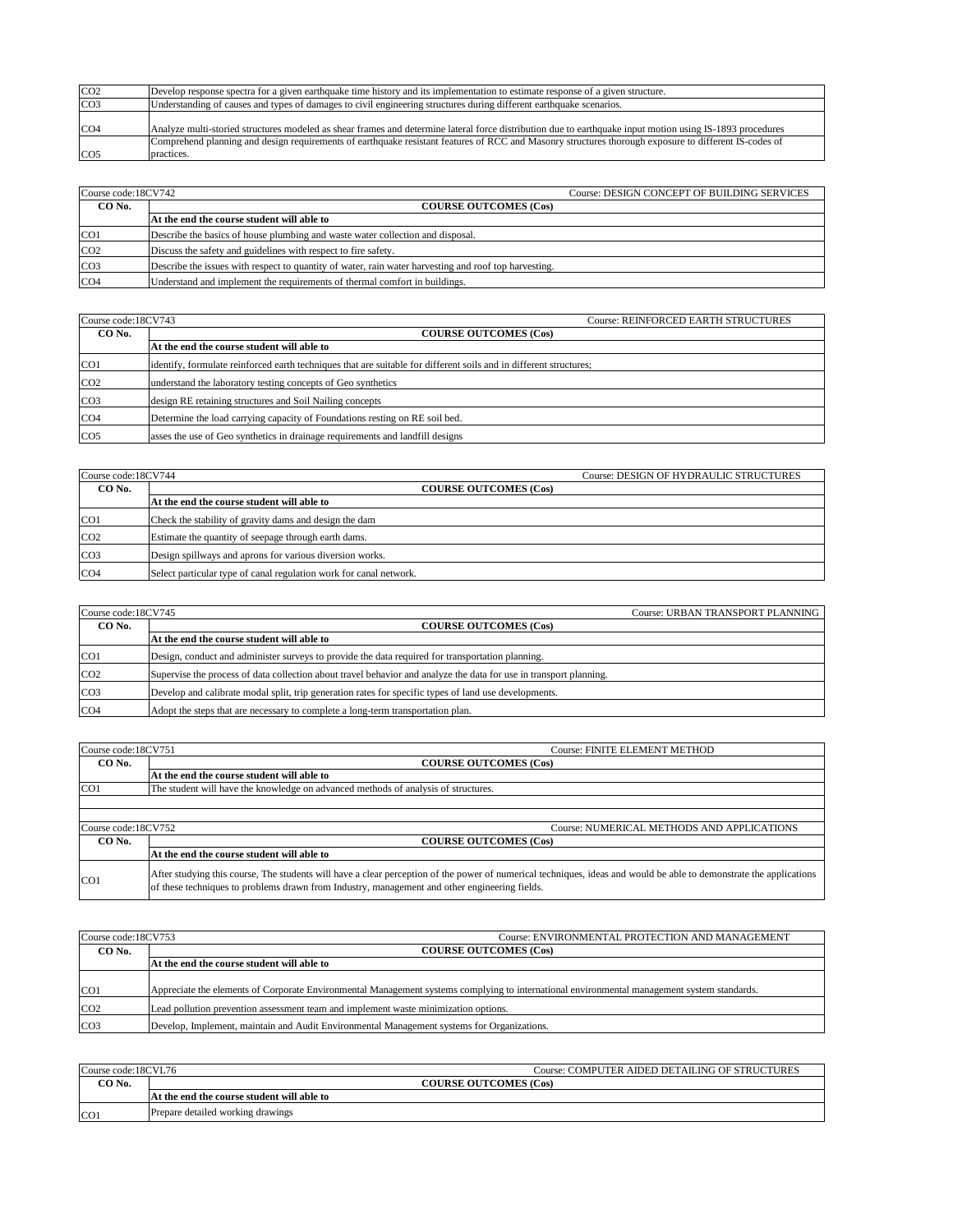| CO <sub>2</sub>  | Develop response spectra for a given earthquake time history and its implementation to estimate response of a given structure.                            |  |
|------------------|-----------------------------------------------------------------------------------------------------------------------------------------------------------|--|
| CO <sub>3</sub>  | Understanding of causes and types of damages to civil engineering structures during different earthquake scenarios.                                       |  |
|                  |                                                                                                                                                           |  |
| CO <sub>4</sub>  | Analyze multi-storied structures modeled as shear frames and determine lateral force distribution due to earthquake input motion using IS-1893 procedures |  |
|                  | Comprehend planning and design requirements of earthquake resistant features of RCC and Masonry structures thorough exposure to different IS-codes of     |  |
| ICO <sub>5</sub> | practices.                                                                                                                                                |  |

| Course code:18CV742 | <b>Course: DESIGN CONCEPT OF BUILDING SERVICES</b>                                                    |  |
|---------------------|-------------------------------------------------------------------------------------------------------|--|
| CO No.              | <b>COURSE OUTCOMES (Cos)</b>                                                                          |  |
|                     | At the end the course student will able to                                                            |  |
| CO <sub>1</sub>     | Describe the basics of house plumbing and waste water collection and disposal.                        |  |
| CO <sub>2</sub>     | Discuss the safety and guidelines with respect to fire safety.                                        |  |
| CO <sub>3</sub>     | Describe the issues with respect to quantity of water, rain water harvesting and roof top harvesting. |  |
| CO <sub>4</sub>     | Understand and implement the requirements of thermal comfort in buildings.                            |  |

| Course code:18CV743 | <b>Course: REINFORCED EARTH STRUCTURES</b>                                                                         |  |
|---------------------|--------------------------------------------------------------------------------------------------------------------|--|
| CO No.              | <b>COURSE OUTCOMES (Cos)</b>                                                                                       |  |
|                     | At the end the course student will able to                                                                         |  |
| CO <sub>1</sub>     | identify, formulate reinforced earth techniques that are suitable for different soils and in different structures; |  |
| CO <sub>2</sub>     | understand the laboratory testing concepts of Geo synthetics                                                       |  |
| CO <sub>3</sub>     | design RE retaining structures and Soil Nailing concepts                                                           |  |
| CO <sub>4</sub>     | Determine the load carrying capacity of Foundations resting on RE soil bed.                                        |  |
| CO <sub>5</sub>     | asses the use of Geo synthetics in drainage requirements and landfill designs                                      |  |

| Course code:18CV744 |                                                                    | <b>Course: DESIGN OF HYDRAULIC STRUCTURES</b> |
|---------------------|--------------------------------------------------------------------|-----------------------------------------------|
| CO No.              | <b>COURSE OUTCOMES (Cos)</b>                                       |                                               |
|                     | At the end the course student will able to                         |                                               |
| CO <sub>1</sub>     | Check the stability of gravity dams and design the dam             |                                               |
| CO <sub>2</sub>     | Estimate the quantity of seepage through earth dams.               |                                               |
| CO <sub>3</sub>     | Design spillways and aprons for various diversion works.           |                                               |
| CO <sub>4</sub>     | Select particular type of canal regulation work for canal network. |                                               |

| Course code:18CV745 |                                                                                                                    | Course: URBAN TRANSPORT PLANNING |
|---------------------|--------------------------------------------------------------------------------------------------------------------|----------------------------------|
| CO No.              | <b>COURSE OUTCOMES (Cos)</b>                                                                                       |                                  |
|                     | At the end the course student will able to                                                                         |                                  |
| CO <sub>1</sub>     | Design, conduct and administer surveys to provide the data required for transportation planning.                   |                                  |
| CO <sub>2</sub>     | Supervise the process of data collection about travel behavior and analyze the data for use in transport planning. |                                  |
| CO <sub>3</sub>     | Develop and calibrate modal split, trip generation rates for specific types of land use developments.              |                                  |
| CO <sub>4</sub>     | Adopt the steps that are necessary to complete a long-term transportation plan.                                    |                                  |

| Course code:18CV751 | <b>Course: FINITE ELEMENT METHOD</b>                                                                                                                                                                                                                                 |  |
|---------------------|----------------------------------------------------------------------------------------------------------------------------------------------------------------------------------------------------------------------------------------------------------------------|--|
| CO No.              | <b>COURSE OUTCOMES (Cos)</b>                                                                                                                                                                                                                                         |  |
|                     | At the end the course student will able to                                                                                                                                                                                                                           |  |
| CO1                 | The student will have the knowledge on advanced methods of analysis of structures.                                                                                                                                                                                   |  |
|                     |                                                                                                                                                                                                                                                                      |  |
|                     |                                                                                                                                                                                                                                                                      |  |
| Course code:18CV752 | Course: NUMERICAL METHODS AND APPLICATIONS                                                                                                                                                                                                                           |  |
| CO No.              | <b>COURSE OUTCOMES (Cos)</b>                                                                                                                                                                                                                                         |  |
|                     | At the end the course student will able to                                                                                                                                                                                                                           |  |
| CO <sub>1</sub>     | After studying this course, The students will have a clear perception of the power of numerical techniques, ideas and would be able to demonstrate the applications<br>of these techniques to problems drawn from Industry, management and other engineering fields. |  |

| Course code:18CV753 | Course: ENVIRONMENTAL PROTECTION AND MANAGEMENT                                                                                             |  |  |
|---------------------|---------------------------------------------------------------------------------------------------------------------------------------------|--|--|
| CO <sub>No.</sub>   | <b>COURSE OUTCOMES (Cos)</b>                                                                                                                |  |  |
|                     | At the end the course student will able to                                                                                                  |  |  |
|                     |                                                                                                                                             |  |  |
| CO <sub>1</sub>     | Appreciate the elements of Corporate Environmental Management systems complying to international environmental management system standards. |  |  |
| CO <sub>2</sub>     | Lead pollution prevention assessment team and implement waste minimization options.                                                         |  |  |
| CO <sub>3</sub>     | Develop, Implement, maintain and Audit Environmental Management systems for Organizations.                                                  |  |  |

| Course code:18CVL76 |                                            | <b>Course: COMPUTER AIDED DETAILING OF STRUCTURES</b> |
|---------------------|--------------------------------------------|-------------------------------------------------------|
| CO No.              | <b>COURSE OUTCOMES (Cos)</b>               |                                                       |
|                     | At the end the course student will able to |                                                       |
| CO <sub>1</sub>     | Prepare detailed working drawings          |                                                       |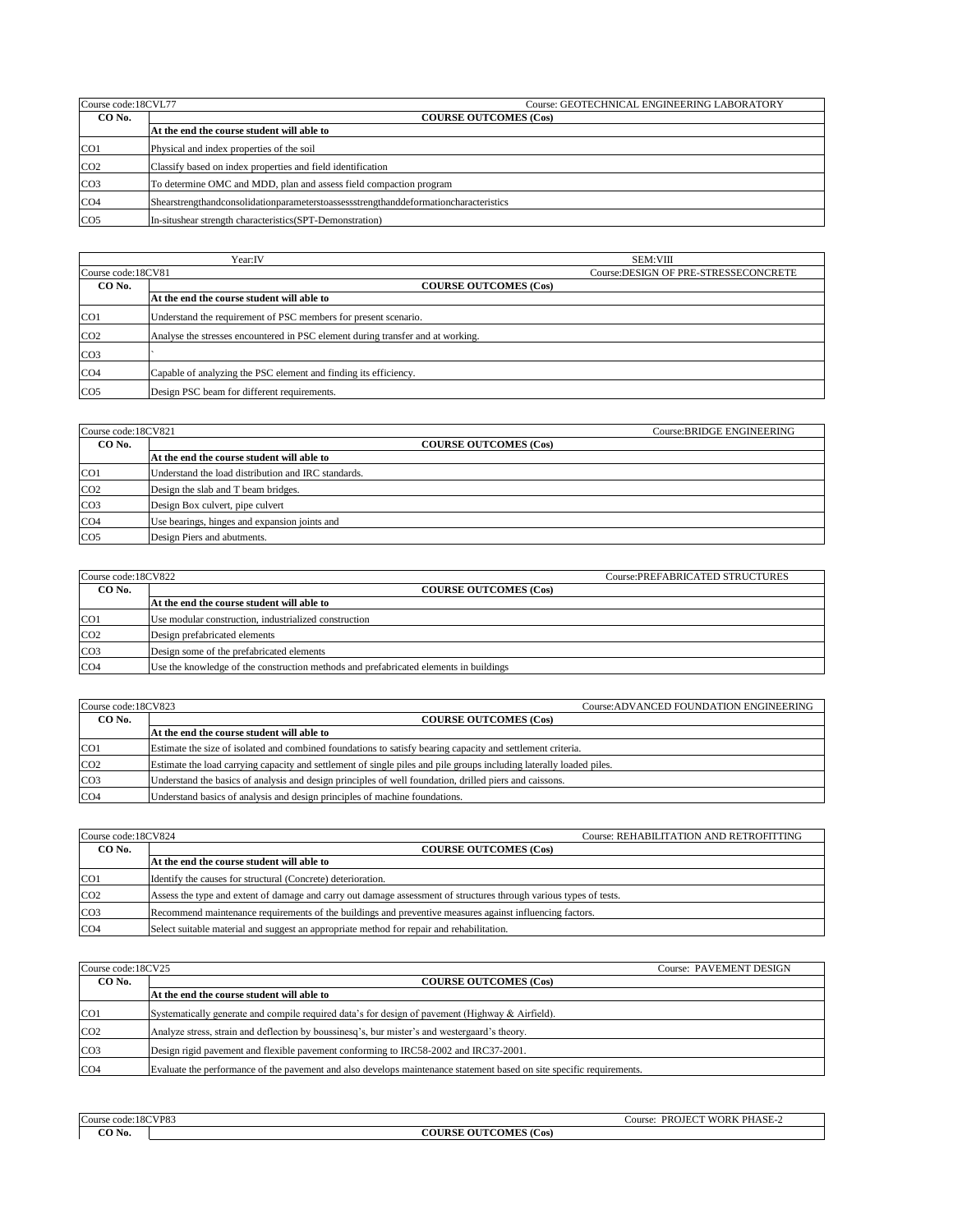| Course code:18CVL77 | Course: GEOTECHNICAL ENGINEERING LABORATORY                                          |  |
|---------------------|--------------------------------------------------------------------------------------|--|
| CO No.              | <b>COURSE OUTCOMES (Cos)</b>                                                         |  |
|                     | At the end the course student will able to                                           |  |
| CO <sub>1</sub>     | Physical and index properties of the soil                                            |  |
| CO <sub>2</sub>     | Classify based on index properties and field identification                          |  |
| CO <sub>3</sub>     | To determine OMC and MDD, plan and assess field compaction program                   |  |
| CO <sub>4</sub>     | Shearstrengthandconsolidationparameterstoassessstrengthanddeformationcharacteristics |  |
| CO <sub>5</sub>     | In-situshear strength characteristics(SPT-Demonstration)                             |  |

|                    | Year:IV                                                                         | SEM:VIII                                     |
|--------------------|---------------------------------------------------------------------------------|----------------------------------------------|
| Course code:18CV81 |                                                                                 | <b>Course: DESIGN OF PRE-STRESSECONCRETE</b> |
| CO No.             | <b>COURSE OUTCOMES (Cos)</b>                                                    |                                              |
|                    | At the end the course student will able to                                      |                                              |
| CO <sub>1</sub>    | Understand the requirement of PSC members for present scenario.                 |                                              |
| CO <sub>2</sub>    | Analyse the stresses encountered in PSC element during transfer and at working. |                                              |
| CO <sub>3</sub>    |                                                                                 |                                              |
| CO <sub>4</sub>    | Capable of analyzing the PSC element and finding its efficiency.                |                                              |
| CO <sub>5</sub>    | Design PSC beam for different requirements.                                     |                                              |

| Course code:18CV821 |                                                     | Course: BRIDGE ENGINEERING |
|---------------------|-----------------------------------------------------|----------------------------|
| CO No.              | <b>COURSE OUTCOMES (Cos)</b>                        |                            |
|                     | At the end the course student will able to          |                            |
| CO <sub>1</sub>     | Understand the load distribution and IRC standards. |                            |
| CO <sub>2</sub>     | Design the slab and T beam bridges.                 |                            |
| CO <sub>3</sub>     | Design Box culvert, pipe culvert                    |                            |
| CO <sub>4</sub>     | Use bearings, hinges and expansion joints and       |                            |
| CO <sub>5</sub>     | Design Piers and abutments.                         |                            |

| Course code:18CV822 |                                                                                       | Course:PREFABRICATED STRUCTURES |
|---------------------|---------------------------------------------------------------------------------------|---------------------------------|
| CO No.              | <b>COURSE OUTCOMES (Cos)</b>                                                          |                                 |
|                     | At the end the course student will able to                                            |                                 |
| CO <sub>1</sub>     | Use modular construction, industrialized construction                                 |                                 |
| CO <sub>2</sub>     | Design prefabricated elements                                                         |                                 |
| CO <sub>3</sub>     | Design some of the prefabricated elements                                             |                                 |
| CO <sub>4</sub>     | Use the knowledge of the construction methods and prefabricated elements in buildings |                                 |

| Course code:18CV823 | Course: ADVANCED FOUNDATION ENGINEERING                                                                              |  |
|---------------------|----------------------------------------------------------------------------------------------------------------------|--|
| CO No.              | <b>COURSE OUTCOMES (Cos)</b>                                                                                         |  |
|                     | At the end the course student will able to                                                                           |  |
| CO <sub>1</sub>     | Estimate the size of isolated and combined foundations to satisfy bearing capacity and settlement criteria.          |  |
| CO <sub>2</sub>     | Estimate the load carrying capacity and settlement of single piles and pile groups including laterally loaded piles. |  |
| CO <sub>3</sub>     | Understand the basics of analysis and design principles of well foundation, drilled piers and caissons.              |  |
| CO <sub>4</sub>     | Understand basics of analysis and design principles of machine foundations.                                          |  |

| Course code:18CV824 | Course: REHABILITATION AND RETROFITTING                                                                            |  |
|---------------------|--------------------------------------------------------------------------------------------------------------------|--|
| CO No.              | <b>COURSE OUTCOMES (Cos)</b>                                                                                       |  |
|                     | At the end the course student will able to                                                                         |  |
| CO <sub>1</sub>     | Identify the causes for structural (Concrete) deterioration.                                                       |  |
| CO <sub>2</sub>     | Assess the type and extent of damage and carry out damage assessment of structures through various types of tests. |  |
| CO <sub>3</sub>     | Recommend maintenance requirements of the buildings and preventive measures against influencing factors.           |  |
| CO <sub>4</sub>     | Select suitable material and suggest an appropriate method for repair and rehabilitation.                          |  |

| Course code:18CV25 |                                                                                                                       | Course: PAVEMENT DESIGN |
|--------------------|-----------------------------------------------------------------------------------------------------------------------|-------------------------|
| CO No.             | <b>COURSE OUTCOMES (Cos)</b>                                                                                          |                         |
|                    | At the end the course student will able to                                                                            |                         |
| CO <sub>1</sub>    | Systematically generate and compile required data's for design of pavement (Highway & Airfield).                      |                         |
| CO <sub>2</sub>    | Analyze stress, strain and deflection by boussinesq's, bur mister's and westergaard's theory.                         |                         |
| CO <sub>3</sub>    | Design rigid payement and flexible payement conforming to IRC58-2002 and IRC37-2001.                                  |                         |
| CO <sub>4</sub>    | Evaluate the performance of the pavement and also develops maintenance statement based on site specific requirements. |                         |

| Course<br>code: | :18CVP83<br>$\mu$ PHASE- $\mu$<br><b>PROJEC</b><br><b>WORK</b><br>course: |
|-----------------|---------------------------------------------------------------------------|
| CO No.          | <b>COUTCOMES</b> (Cos)<br>COURSE                                          |